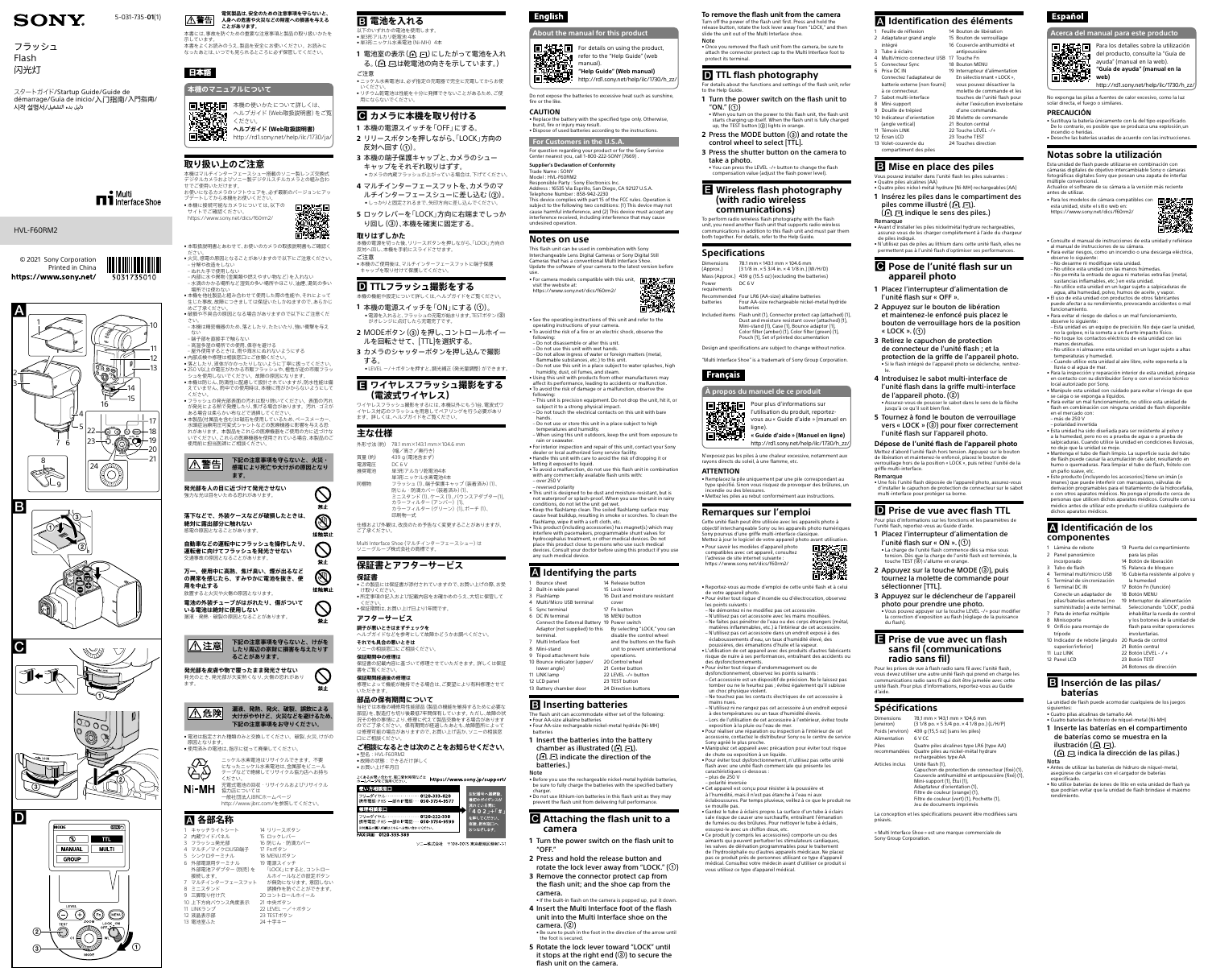。<br>本書をよくお読みのうえ、製品を安全にお使いください。お読みに なったあとは、いつでも見られるところに必ず保管してください。

日、対決点 日本機の使いかたについて詳しくは、

**電気製品は、安全のための注意事項を守らないと、 人身への危害や火災などの財産への損害を与える A警告 ことがあります。**

本書には、事故を防ぐための重要な注意事項と製品の取り扱いかたを

示しています。

日本語

**本機のマニュアルについて**

ヘルプガイド(Web取扱説明書)をご覧

部殺

ください。

**ヘルプガイド(Web取扱説明書)** <http://rd1.sony.net/help/ilc/1730/ja/>

**取り扱い上のご注意**

- ださい。<br>● 火災、感電の原因となることがありますので以下にご注意ください。 ‒ 分解や改造をしない ぬれた手で使用しない ‒ 内部に水や異物(金属類や燃えやすい物など)を入れない ‒ 水滴のかかる場所など湿気の多い場所やほこり、油煙、湯気の多い 場所では使わない • 本機を他社製品と組み合わせて使用した際の性能や、それによって 生じた事故、故障につきましては保証いたしかねますので、あらかじ

• 本取扱説明書とあわせて、お使いのカメラの取扱説明書もご確認く

— めご了承ください。<br>● 破損や不具合の原因となる場合がありますので以下にご注意くだ

本機はマルチインターフェースシュー搭載のソニー製レンズ交換式 デジタルカメラおよびソニー製デジタルスチルカメラとの組み合わ

せでご使用いただけます。

お使いになるカメラのソフトウェアを、必ず最新のバージョンにアッ

プデートしてから本機をお使いください。 • 本機に接続可能なカメラについては、以下の

サイトでご確認ください。 <https://www.sony.net/dics/f60rm2/>

- 屋外使用するときは、雨や海水にぬれないようにする<br>● 内部点検や修理は相談窓口にご依頼ください。<br>● 落としたり、液体がかかったりしないように | 寧に扱ってください。<br>● 250 V以上の電圧がかかる市販フラッシュや、極性が逆の市販フラッ<br>- シュを使用しないでください。故障の原因になります。<br>● 本機は防じん、防滴性に配慮して設計されていますが、防水性能は備 えていません。雨中での使用時は、本機に雨がかからないようにして

### • 本製品(付属品を含む)は磁石を使用しているため、ペースメーカー、 水頭症治療用圧可変式シャントなどの医療機器に影響を与える恐 れがあります。本製品をこれらの医療機器をご使用の方に近づけな いでください。これらの医療機器を使用されている場合、本製品のご 使用前に担当医師にご相談ください。 |△警告| **発光部を人の目に近づけて発光させない** 強力な光は目をいためる恐れがあります



- さい。 ‒ 本機は精密機器のため、落としたり、たたいたり、強い衝撃を与え
- ない ‒ 端子部を直接手で触らない

8 ミニスタンド 9 三脚取り付け穴

ください。 • フラッシュの発光部表面の汚れは取り除いてください。表面の汚れ が発光による熱で発煙したり、焦げる場合があります。汚れ・ゴミが

ある場合は柔らかい布などで清掃してください。

ー<br>22 LEVEL ー/+ボタン 23 TESTボタン 24 十字キー

以下のいずれかの雷池を使用します • 単3形アルカリ乾電池 4本

**下記の注意事項を守らないと、火災・ 感電により死亡や大けがの原因となり**

> $\bigcirc$ 禁止 **D** 接触禁止  $\bigcirc$

> 禁止  $\circledS$ 接触禁止

 $\bigcirc$ 禁止

禁止

**ます。**

**落下などで、外装ケースなどが破損したときは、**

**絶対に露出部分に触れない** 感電の原因となることがあります。

**自動車などの運転中にフラッシュを操作したり、 運転者に向けてフラッシュを発光させない** 交通事故の原因となることがあります。

**万一、使用中に高熱、焦げ臭い、煙が出るなど の異常を感じたら、すみやかに電池を抜き、使**

**用を中止する**

八注意

 $|\triangle$ 危険 $|$ 

44

放置すると火災や火傷の原因となります。

**電池の外装チューブがはがれたり、傷がついて**

**いる電池は絶対に使用しない** 漏液・発熱・破裂の原因となることがあります。

> **下記の注意事項を守らないと、けがを したり周辺の家財に損害を与えたりす**

**ることがあります。**

•電池は指定された種類のみと交換してください。破裂、火災、けがの<br>- 原因となります。

**発光部を皮膚や物で覆ったまま発光させない** 発光のとき、発光部が大変熱くなり、火傷の恐れがあり

• 使用済みの電池は、指示に従って廃棄してください。

ます。

**漏液、発熱、発火、破裂、誤飲による 大けがややけど、火災などを避けるため、 下記の注意事項をお守りください。**

> **ご相談になるときは次のことをお知らせください。** • 型名 : HVL-F60RM2<br>• 故障の状態 : できるだけ詳しく

•お買い上げ年月日

ニッケル水素電池はリサイクルできます。不要 になったニッケル水素電池は、金属部をビニール テープなどで絶縁してリサイクル協力店へお持ち ください。 、<br>た電式電池の回収・リサイクルおよびリサイクル **Ni-MH 協力店については** <sub>388カ75</sub>11にラいては<br>一般社団法人JBRCホームページ <http://www.jbrc.com/>を参照してください。  **各部名称** 1 キャッチライトシート 2 内蔵ワイドパネル フラッシュ発光部 4 マルチ/マイクロUSB端子 5 シンクロターミナル 6 外部電源用ターミナル 外部電池アダプター(別売)を 7 マルチインターフェースフット 10 上下方向バウンス角度表示 14 リリースボタン 15 ロックレバー 16 防じん・防滴カバー 17 Fnボタン 18 MENUボタン - 19 電源スイッチ 「LOCK」にすると、コントロー ルホイールなどの設定ボタン が無効になります。意図しない 誤操作を防ぐことができます。 20 コントロールホイール 21 中央ボタン

接続します。

11 LINKランプ 12 液晶表示部 13 電池室ふた

- <sub>高·温·多·湿の場所での使用、保存を避ける<br>- 高温多湿の場所での使用、保存を避ける<br>- 屋外使用するときは、雨や海水にぬれないようにする</sub>

**1** Turn the power switch on the flash unit to "ON."  $(\textcircled{\scriptsize{1}})$ 

• When you turn on the power to this flash unit, the flash unit starts charging up itself. When the flash unit is fully charged<br>up, the TEST button (②) lights in orange.

### **電池を入れる**

- **2** Press the MODE button (3) and rotate the control wheel to select [TTL]. **3** Press the shutter button on the camera to
- take a photo.

用にならないでください。

●単3形ニッケル水素電池 (Ni-MH) 4本

- 1 電池室の表示(ALC)にしたがって電池を入れ る。(4) 、「は乾電池の向きを示しています。) ご注意
- • ニッケル水素電池は、必ず指定の充電器で完全に充電してからお使 いください。 リチウム乾電池は性能を十分に発揮できないことがあるため、ご使

### **カメラに本機を取り付ける**

- **1** 本機の電源スイッチを「OFF」にする。
- **2** リリースボタンを押しながら、「LOCK」方向の 反対へ回す(①)。
- **3** 本機の端子保護キャップと、カメラのシュー キャップをそれぞれ取りはずす。
- カメラの内蔵フラッシュが上がっている場合は、下げてください **4** マルチインターフェースフットを、カメラのマ ルチインターフェースシューに差し込む(2)。
- • しっかりと固定されるまで、矢印方向に差し込んでください。 **5** ロックレバーを「LOCK」方向に右端までしっか
- り回し(③)、本機を確実に固定する。
- **取りはずしかた** 本機の電源を切った後、リリースボタンを押しながら、「LOCK」方向の 反対へ回し、本機を手前にスライドさせます。
- ご注意 • 本機のご使用後は、マルチインターフェースフットに端子保護 キャップを取り付けて保護してください。

## **TTLフラッシュ撮影をする**

- 本機の機能や設定について詳しくは、ヘルプガイドをご覧ください。 1 本機の電源スイッチを「ON」にする(①)。 •電源を入れると、フラッシュの充電が始まります。TESTボタン(2) がオレンジに点灯したら充電完了です。
- 2 MODEボタン(3)を押し、コントロールホイー ルを回転させて、[TTL]を選択する。
- **3** カメラのシャッターボタンを押し込んで撮影 する。

● LEVEL ー/+ボタンを押すと、調光補正 (発光量調整) ができます。

**同期語** Pour plus d'informations sur l'utilisation du produit, reportezvous au « Guide d'aide » (manuel en ligne).

#### **ワイヤレスフラッシュ撮影をする (電波式ワイヤレス)**

ワイヤレスフラッシュ撮影をするには、本機以外にもう1台、電波式ワ イヤレス対応のフラッシュを用意してペアリングを行う必要があり ます。詳しくは、ヘルプガイドをご覧ください。

### **主な仕様**

外形寸法(約) 78.1 mm×143.1 mm×104.6 mm (幅/高さ/奥行き) 質量(約) 439 g(電池含まず) 電源電圧 DC 6 V 推奨電池 単3形アルカリ乾電池4本 単3形ニッケル水素電池4本 同梱物 フラッシュ(1)、端子保護キャップ(装着済み)(1)、 防じん・防滴カバー(装着済み)(1)、 ミニスタンド(1)、ケース(1)、バウンスアダプター(1)、 カラーフィルター (アンバー) カラーフィルター(グリーン)(1)、ポーチ(1)、

印刷物一式 仕様および外観は、改良のため予告なく変更することがありますが、

Multi Interface Shoe (マルチインターフェースシュー)は

ご了承ください。

ソニーグループ株式会社の商標です。



#### **保証書**

- • この製品には保証書が添付されていますので、お買い上げの際、お受 け取りくださ
- • 所定事項の記入および記載内容をお確かめのうえ、大切に保管して - ください。<br>● 保証期間は、お買い上げ日より1年間です。
- **アフターサービス**

**調子が悪いときはまずチェックを**

- ヘルプガイドなどを参考にして故障かどうかお調べください。 **それでも具合の悪いときは**
- ソニーの相談窓口にご相談ください。

### **保証期間中の修理は**

保証書の記載内容に基づいて修理させていただきます。詳しくは保証 書をご覧ください。 **保証期間経過後の修理は**

修理によって機能が維持できる場合は、ご要望により有料修理させて いただきます。

### **部品の保有期間について**

当社では本機の補修用性能部品(製品の機能を維持するために必要な 部品)を、製造打ち切り後最低7年間保有しています。ただし、故障の状 況その他の事情により、修理に代えて製品交換をする場合があります のでご了承ください。保有期間が経過したあとも、故障箇所によって は修理可能の場合がありますので、お買い上げ店か、ソニーの相談窓 口にご相談ください。



ソニー株式会社 〒108-0075 東京都港区港南1-7-1

### **English**

**To remove the flash unit from the camera** Turn off the power of the flash unit first. Press and hold the

res ci-dessous – plus de 250 V

release button, rotate the lock lever away from "LOCK," and then slide the unit out of the Multi Interface shoe.

Note

### Français

• Once you removed the flash unit from the camera, be sure to attach the connector protect cap to the Multi Interface foot to protect its terminal.

#### **D** TTL flash photography

For details about the functions and settings of the flash unit, refer to the Help Guide.

Feuille de réflexio 2 Adaptateur grand angle

à ce connecteur 7 Sabot multi-interface 8 Mini-support Douille de trépied 10 Indicateur d'orientation (angle vertical) **Témoin LINK** 12 Écran LCD

14 Bouton de libération 15 Bouton de verrouillage 16 Couvercle antihumidité et

• You can press the LEVEL -/+ button to change the flash compensation value (adjust the flash power level).

### **Wireless flash photography (with radio wireless communications)**

To perform radio wireless flash photography with the flash unit, you need another flash unit that supports radio wireless communications in addition to this flash unit and must pair them both together. For details, refer to the Help Guide.

#### **Specifications**

#### **Pose de l'unité flash sur un appareil photo**

Dimensions (Approx.)

Power requirements

batteries

- 78.1 mm × 143.1 mm × 104.6 mm (3 1/8 in. × 5 3/4 in. × 4 1/8 in.) (W/H/D) Mass (Approx.) 439 g (15.5 oz) (excluding the batteries) DC 6 V
- Recommended Four LR6 (AA-size) alkaline batteries Four AA-size rechargeable nickel-metal hydride
- batteries Included items Flash unit (1), Connector protect cap (attached) (1), Dust and moisture resistant cover (attached) (1), Mini-stand (1), Case (1), Bounce adaptor (1), Color filter (amber) (1), Color filter (green) (1), Pouch (1), Set of printed documentation
- Design and specifications are subject to change without notice.

"Multi Interface Shoe" is a trademark of Sony Group Corporation.



**« Guide d'aide » (Manuel en ligne)** [http://rd1.sony.net/help/ilc/1730/h\\_zz/](http://rd1.sony.net/help/ilc/1730/h_zz/)

N'exposez pas les piles à une chaleur excessive, notamment aux rayons directs du soleil, à une flamme, etc.

```
ATTENTION
```
• Remplacez la pile uniquement par une pile correspondant au type spécifié. Sinon vous risquez de provoquer des brûlures, un endie ou des blessures. • Mettez les piles au rebut conformément aux instructions.

#### **Remarques sur l'emploi**

Cette unité flash peut être utilisée avec les appareils photo à objectif interchangeable Sony ou les appareils photo numériques Sony pourvus d'une griffe multi-interface classique.



**Español Acerca del manual para este producto**



• Pour savoir les modèles d'appareil photo compatibles avec cet appareil, consultez l'adresse de site internet suivante : <https://www.sony.net/dics/f60rm2/>

• Reportez-vous au mode d'emploi de cette unité flash et à celui • Pour éviter tout risque d'incendie ou d'électrocution, observez les points suivants :

- Ne démontez ni ne modifiez pas cet accessoire.
- N'utilisez pas cet accessoire avec les mains mouillées. Ne faites pas pénétrer de l'eau ou des corps étrangers (métal, matières inflammables, etc.) à l'intérieur de cet accessoire. – N'utilisez pas cet accessoire dans un endroit exposé à des éclaboussements d'eau, un taux d'humidité élevé, des
- poussières, des émanations d'huile et la vapeur. • L'utilisation de cet appareil avec des produits d'autres fabricants risque de nuire à ses performances, entraînant des accidents ou
	-
- Pour éviter tout risque d'endommagement ou de dysfonctionnement, observez les points suivants : – Cet accessoire est un dispositif de précision. Ne le laissez pas
- tomber ou ne le heurtez pas ; évitez également qu'il subisse un choc physique violent.
- Ne touchez pas les contacts électriques de cet accessoire à mains nues. – N'utilisez ni ne rangez pas cet accessoire à un endroit exposé

• Manipule esta unidad con cuidado para evitar el riesgo de que se caiga o se exponga a líquidos. • Para evitar un mal funcionamiento, no utilice esta unidad de flash en combinación con ninguna unidad de flash disponible

à des températures ou un taux d'humidité élevés. – Lors de l'utilisation de cet accessoire à l'extérieur, évitez toute exposition à la pluie ou l'eau de mer.

• Pour réaliser une réparation ou inspection à l'intérieur de cet accessoire, contactez le distributeur Sony ou le centre de service Sony agréé le plus proche.

• Manipulez cet appareil avec précaution pour éviter tout risque de chute ou exposition à un liquide. • Pour éviter tout dysfonctionnement, n'utilisez pas cette unité flash avec une unité flash commerciale qui présente les

13 Puerta del compartimiento para las pilas Botón de liberación Palanca de bloqueo Cubierta resistente al polvo y la humedad Botón Fn (función) Botón MENU

– polarité inversée • Cet appareil est conçu pour résister à la poussière et à l'humidité, mais il n'est pas étanche à l'eau ni aux

éclaboussures. Par temps pluvieux, veillez à ce que le produit ne se mouille pas. • Gardez le tube à éclairs propre. La surface d'un tube à éclairs

sale risque de causer une surchauffe, entraînant l'émanation de fumées ou des brûlures. Pour nettoyer le tube à éclairs, essuyez-le avec un chiffon doux, etc. • Ce produit (y compris les accessoires) comporte un ou des

aimants qui peuvent perturber les stimulateurs cardiaques, les valves de dérivation programmables pour le traitement de l'hydrocéphalie ou d'autres appareils médicaux. Ne placez pas ce produit près de personnes utilisant ce type d'appareil médical. Consultez votre médecin avant d'utiliser ce produit si vous utilisez ce type d'appareil médical.

### **Identification des éléments**

intégré 3 Tube à éclairs

5 Connecteur Sync 6 Prise DC IN

> Connectez l'adaptateur de batterie externe (non fourni)

• For camera models compatible with this unit, **FILE** visit the website at: <https://www.sony.net/dics/f60rm2/>

- antipoussière
- 4 Multi/micro connecteur USB 17 Touche Fn 18 Bouton MENU
	- 19 Interrupteur d'alimentation En sélectionnant « LOCK »,
	- vous pouvez désactiver la molette de commande et les
	- touches de l'unité flash pour
	- éviter l'exécution involontaire d'une commande.
	- 20 Molette de commande 21 Bouton central
	- 22 Touche LEVEL -/+
	- 23 Touche TEST
- 13 Volet-couvercle du compartiment des piles 24 Touches direction

### $\blacksquare$  Mise en place des piles

• Handle this unit with care to avoid the risk of dropping it or letting it exposed to liquid. • To avoid a malfunction, do not use this flash unit in combination ercially available flash units with

with any con<br>- over 250 V – reversed polarity

- Vous pouvez installer dans l'unité flash les piles suivantes : • Quatre piles alcalines (AA) • Quatre piles nickel-métal hydrure (Ni-MH) rechargeables (AA) **1** Insérez les piles dans le compartiment des
- piles comme illustré ( $\boxdot \boxdot$ ).  $(E) \Box$  indique le sens des piles.)
- Remarque Avant d'installer les piles nickelmétal hydrure rechargeables,
- assurez-vous de les charger complètement à l'aide du chargeur de piles indiqué. • N'utilisez pas de piles au lithium dans cette unité flash, elles ne
- permettent pas à l'unité flash d'optimiser ses performances.

- **1** Placez l'interrupteur d'alimentation de l'unité flash sur « OFF ».
- **2** Appuyez sur le bouton de libération et maintenez-le enfoncé puis placez le bouton de verrouillage hors de la position
- « LOCK ». $(\textcircled{\scriptsize 1})$ **3** Retirez le capuchon de protection de connecteur de l'unité flash ; et la
- protection de la griffe de l'appareil photo. • Si le flash intégré de l'appareil photo se le.
- **4** Introduisez le sabot multi-interface de l'unité flash dans la griffe multi-interface de l'appareil photo.  $(Q)$ • Assurez-vous de pousser le sabot dans le sens de la flèche jusqu'à ce qu'il soit bien fixé.
- **5** Tournez à fond le bouton de verrouillage vers « LOCK »  $(3)$  pour fixer correctement l'unité flash sur l'appareil photo.

**Dépose de l'unité flash de l'appareil photo** Mettez d'abord l'unité flash hors tension. Appuyez sur le bouton de libération et maintenez-le enfoncé, placez le bouton de verrouillage hors de la position « LOCK », puis retirez l'unité de la griffe multi-interface.

© 2021 Sony Corporation https://www.sony.net/

> Remarque • Une fois l'unité flash déposée de l'appareil photo, assurez-vous d'installer le capuchon de protection de connecteur sur le sabot multi-interface pour protéger sa borne.

### **D** Prise de vue avec flash TTL

- Pour plus d'informations sur les fonctions et les paramètres de l'unité flash, reportez-vous au Guide d'aide. **1** Placez l'interrupteur d'alimentation de l'unité flash sur « ON ».  $(\textcircled{\scriptsize{1}})$
- La charge de l'unité flash commence dès sa mise sous tension. Dès que la charge de l'unité flash est terminée, la touche TEST (2) s'allume en orange.
- **2** Appuyez sur la touche MODE (③), puis tournez la molette de commande pour sélectionner [TTL].
- **3** Appuyez sur le déclencheur de l'appareil photo pour prendre une photo. • Vous pouvez appuyer sur la touche LEVEL -/+ pour modifier la correction d'exposition au flash (réglage de la puissance

du flash). **Prise de vue avec un flash** 

### **sans fil (communications radio sans fil)**

Pour les prises de vue à flash radio sans fil avec l'unité flash, vous devez utiliser une autre unité flash qui prend en charge les communications radio sans fil qui doit être jumelée avec cette unité flash. Pour plus d'informations, reportez-vous au Guide d'aide.

#### **Spécifications**

| <b>Dimensions</b><br>(environ) | 78.1 mm × 143.1 mm × 104.6 mm<br>(31/8 po. × 53/4 po. × 41/8 po.) (L/H/P) |
|--------------------------------|---------------------------------------------------------------------------|
| Poids (environ)                | 439 g (15,5 oz) (sans les piles)                                          |
| Alimentation                   | 6 V CC                                                                    |
|                                |                                                                           |

Piles

- recommandées Quatre piles au nickel-métal hydrure Quatre piles alcalines type LR6 (type AA) rechargeables type AA
- Articles inclus Unité flash (1), Capuchon de protection de connecteur (fixé) (1),
	- Couvercle antihumidité et antipoussière (fixé) (1), Mini-support (1), Étui (1), Adaptateur d'orientation (1),
	-
	- Filtre de couleur (orange) (1), Filtre de couleur (vert) (1), Pochette (1), Jeu de documents imprimés
- La conception et les spécifications peuvent être modifiées sans

#### préavis.

« Multi Interface Shoe » est une marque commerciale de Sony Group Corporation.

Para los detalles sobre la utilización del producto, consulte la "Guía de ayuda" (manual en la web). **"Guía de ayuda" (manual en la web)**

[http://rd1.sony.net/help/ilc/1730/h\\_zz/](http://rd1.sony.net/help/ilc/1730/h_zz/) No exponga las pilas a fuentes de calor excesivo, como la luz

solar directa, el fuego o similares.

### **PRECAUCIÓN**

• Sustituya la batería únicamente con la del tipo especificado. De lo contrario, es posible que se produzca una explosión,un incendio o heridas. • Deseche las baterías usadas de acuerdo con las instrucciones.

**Notas sobre la utilización**

Esta unidad de flash puede utilizarse en combinación con cámaras digitales de objetivo intercambiable Sony o cámaras fotográficas digitales Sony que posean una zapata de interfaz múltiple convencional. Actualice el software de su cámara a la versión más reciente

- antes de utilizar. • Para los modelos de cámara compatibles con **国教装订** esta unidad, visite el sitio web en:
- <https://www.sony.net/dics/f60rm2/>

# de votre appareil photo. des dysfonctionnements. Adaptor (not supplied) to this By selecting "LOCK," you can and the buttons on the flash unit to prevent unintentional

#### **B** Inserting batteries

• Consulte el manual de instrucciones de esta unidad y refiérase

al manual de instrucciones de su cámara.

• Para evitar riesgos, como un incendio o una descarga eléctrica,

observe lo siguiente: – No desarme ni modifique esta unidad. – No utilice esta unidad con las manos húmedas. – No permita la entrada de agua ni materias extrañas (metal, sustancias inflamables, etc.) en esta unidad. – No utilice esta unidad en un lugar sujeto a salpicaduras de agua, alta humedad, polvo, humos de aceite, y vapor. • El uso de esta unidad con productos de otros fabricantes puede afectar a su rendimiento, provocando accidentes o mal

.<br>funcionamiento

• Para evitar el riesgo de daños o un mal funcionamiento,

observe lo siguiente:

– Esta unidad es un equipo de precisión. No deje caer la unidad, no la golpee, ni la someta a un fuerte impacto físico. – No toque los contactos eléctricos de esta unidad con las

manos desnudas.

– No utilice ni almacene esta unidad en un lugar sujeto a altas

temperaturas y humedad.

– Cuando utilice esta unidad al aire libre, evite exponerla a la

lluvia o al agua de mar.

ocal autorizado por Sony.

• Para la inspección y reparación interior de esta unidad, póngase en contacto con su distribuidor Sony o con el servicio técnico

en el mercado con: – más de 250 V – polaridad invertida

• Esta unidad ha sido diseñada para ser resistente al polvo y a la humedad, pero no es a prueba de agua o a prueba de salpicaduras. Cuando utilice la unidad en condiciones lluviosas,

no deje que la unidad se moje.

• Mantenga el tubo de flash limpio. La superficie sucia del tubo de flash puede causar la acumulación de calor, resultando en humo o quemaduras. Para limpiar el tubo de flash, frótelo con

un paño suave, etc.

• Este producto (incluyendo los accesorios) tiene un imán (o imanes) que puede interferir con marcapasos, válvulas de derivación programables para el tratamiento de la hidrocefalia, o con otros aparatos médicos. No ponga el producto cerca de personas que utilicen dichos aparatos médicos. Consulte con su médico antes de utilizar este producto si utiliza cualquiera de

dichos aparatos médicos.

 **Identificación de los** 

**componentes** Lámina de rebote Panel panorámico incorporado Tubo de flash Terminal multi/micro USB Terminal de sincronización Terminal DC IN

Conecte un adaptador de

7 Pata de interfaz múltiple 8 Minisoporte 9 Orificio para montaje de

trípode

superior/inferior) 11 Luz LINK 12 Panel LCD

pilas/baterías externas (no 19 Interruptor de alimentación suministrado) a este terminal. Seleccionando "LOCK", podrá

10 Indicador de rebote (ángulo 20 Rueda de control

inhabilitar la rueda de control y los botones de la unidad de flash para evitar operaciones

involuntarias. Botón central Botón LEVEL - / + Botón TEST Botones de dirección

**Inserción de las pilas/**

**baterías**

La unidad de flash puede acomodar cualquiera de los juegos

siguientes: • Cuatro pilas alcalinas de tamaño AA

ilustración ( $\boxdot \boxdot$ ).

• Cuatro baterías de hidruro de níquel-metal (Ni-MH) **1** Inserte las baterías en el compartimento de baterías como se muestra en la

( $\oplus$   $\Box$  indica la dirección de las pilas.)

Nota

• Antes de utilizar las baterías de hidruro de níquel-metal, asegúrese de cargarlas con el cargador de baterías especificado. • No utilice baterías de iones de litio en esta unidad de flash ya que podrían evitar que la unidad de flash brindase el máximo

rendimiento.







**CAUTION** • Replace the battery with the specified type only. Otherwise, burst, fire or injury may result. • Dispose of used batteries according to the instructions.

#### **For Customers in the U.S.A.** For question regarding your product or for the Sony Service

Center nearest you, call 1-800-222-SONY (7669) . **Supplier's Declaration of Conformity** Trade Name : SONY

#### Model : HVL-F60RM2

Responsible Party : Sony Electronics Inc. Address : 16535 Via Esprillo, San Diego, CA 92127 U.S.A. Telephone Number : 858-942-2230 This device complies with part 15 of the FCC rules. Operation is subject to the following two conditions: (1) This device may not cause harmful interference, and (2) This device must accept any interference received, including interference that may cause undesired operation.

#### **Notes on use**

This flash unit can be used in combination with Sony Interchangeable Lens Digital Cameras or Sony Digital Still Cameras that has a conventional Multi Interface Shoe. Update the software of your camera to the latest version before

use.

• See the operating instructions of this unit and refer to the operating instructions of your camera. • To avoid the risk of a fire or an electric shock, observe the

following: – Do not disassemble or alter this unit.

– Do not use this unit with wet hands. – Do not allow ingress of water or foreign matters (metal, flammable substances, etc.) to this unit. – Do not use this unit in a place subject to water splashes, high humidity, dust, oil fumes, and steam. • Using this unit with products from other manufacturers may affect its performance, leading to accidents or malfunction. • To avoid the risk of damage or a malfunction, observe the

following:

– This unit is precision equipment. Do not drop the unit, hit it, or subject it to a strong physical impact. – Do not touch the electrical contacts on this unit with bare

hands.

– Do not use or store this unit in a place subject to high temperatures and humidity. – When using this unit outdoors, keep the unit from exposure to rain or seawater. • For interior inspection and repair of this unit, contact your Sony

dealer or local authorized Sony service facility.

• This unit is designed to be dust and moisture-resistant, but is not waterproof or splash-proof. When you use the unit in rainy

conditions, do not let the unit get wet.

• Keep the flashlamp clean. The soiled flashlamp surface may cause heat buildup, resulting in smoke or scorches. To clean the

flashlamp, wipe it with a soft cloth, etc.

• This product (including accessories) has magnet(s) which may interfere with pacemakers, programmable shunt valves for hydrocephalus treatment, or other medical devices. Do not place this product close to persons who use such medical devices. Consult your doctor before using this product if you use

any such medical device.

 **Identifying the parts**

1 Bounce sheet Built-in wide pane **Flashlamp** 4 Multi/Micro USB terminal Sync terminal 6 DC IN terminal

terminal. Multi Interface foot Mini-stand 9 Tripod attachment hole Bounce indicator (upper/ lower angle) LINK lamp LCD panel Battery chamber door

Connect the External Battery 19 Power switch

14 Release button 15 Lock lever

16 Dust and moisture resistant

cover 17 Fn button 18 MENU button

disable the control wheel

operations. Control wheel Center button LEVEL -/+ button TEST button Direction buttons

The flash unit can accommodate either set of the following: • Four AA-size alkaline batteries • Four AA-size rechargeable nickel-metal hydride (Ni-MH)

batteries

- **1** Insert the batteries into the battery chamber as illustrated ( $\oplus \Box$ ).  $(\bigoplus \bigcup$  indicate the direction of the batteries.)
- Note • Before you use the rechargeable nickel-metal hydride batteries, be sure to fully charge the batteries with the specified battery

charger. • Do not use lithium-ion batteries in this flash unit as they may prevent the flash unit from delivering full performance.

#### **Attaching the flash unit to a camera**

- **1** Turn the power switch on the flash unit to "OFF."
- **2** Press and hold the release button and rotate the lock lever away from "LOCK."  $(①)$
- **3** Remove the connector protect cap from the flash unit; and the shoe cap from the camera.
- If the built-in flash on the camera is popped up, put it down. **4** Insert the Multi Interface foot of the flash unit into the Multi Interface shoe on the camera.  $(Q)$ • Be sure to push in the foot in the direction of the arrow until
- the foot is secured. **5** Rotate the lock lever toward "LOCK" until it stops at the right end  $($ supseteq) to secure the flash unit on the camera.













HVL-F60RM2

Printed in China

5031735010

5-031-735-**01**(1)

スタートガイド/Startup Guide/Guide de démarrage/Guía de inicio/入门指南/入門指南/ 시작 설명서/



# **SONY**

フラッシュ Flash 闪光灯